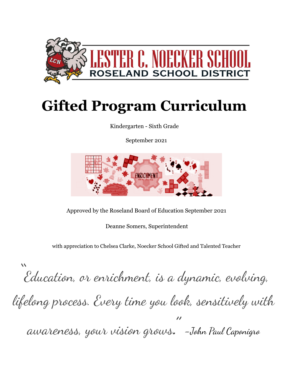

# **Gifted Program Curriculum**

Kindergarten - Sixth Grade

September 2021



Approved by the Roseland Board of Education September 2021

Deanne Somers, Superintendent

with appreciation to Chelsea Clarke, Noecker School Gifted and Talented Teacher

" Education, or enrichment, is a dynamic, evolving, lifelong process. Every time you look, sensitively with awareness, your vision grows." **-**John Paul Caponigro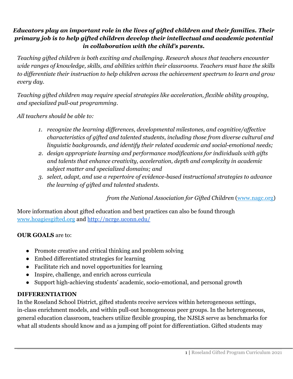## *Educators play an important role in the lives of gifted children and their families. Their primary job is to help gifted children develop their intellectual and academic potential in collaboration with the child's parents.*

*Teaching gifted children is both exciting and challenging. Research shows that teachers encounter wide ranges of knowledge, skills, and abilities within their classrooms. Teachers must have the skills to differentiate their instruction to help children across the achievement spectrum to learn and grow every day.*

*Teaching gifted children may require special strategies like acceleration, flexible ability grouping, and specialized pull-out programming.*

*All teachers should be able to:*

- *1. recognize the learning differences, developmental milestones, and cognitive/affective characteristics of gifted and talented students, including those from diverse cultural and linguistic backgrounds, and identify their related academic and social-emotional needs;*
- *2. design appropriate learning and performance modifications for individuals with gifts and talents that enhance creativity, acceleration, depth and complexity in academic subject matter and specialized domains; and*
- *3. select, adapt, and use a repertoire of evidence-based instructional strategies to advance the learning of gifted and talented students.*

*from the National Association for Gifted Children* [\(www.nagc.org\)](http://www.nagc.org/)

More information about gifted education and best practices can also be found through [www.hoagiesgifted.org](http://www.hoagiesgifted.org/) and <http://ncrge.uconn.edu/>

### **OUR GOALS** are to:

- Promote creative and critical thinking and problem solving
- Embed differentiated strategies for learning
- Facilitate rich and novel opportunities for learning
- Inspire, challenge, and enrich across curricula
- Support high-achieving students' academic, socio-emotional, and personal growth

#### **DIFFERENTIATION**

In the Roseland School District, gifted students receive services within heterogeneous settings, in-class enrichment models, and within pull-out homogeneous peer groups. In the heterogeneous, general education classroom, teachers utilize flexible grouping, the NJSLS serve as benchmarks for what all students should know and as a jumping off point for differentiation. Gifted students may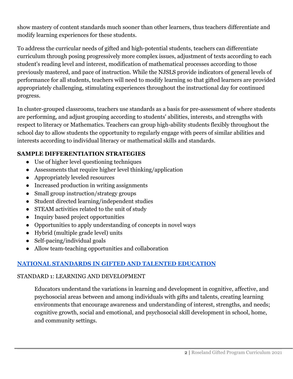show mastery of content standards much sooner than other learners, thus teachers differentiate and modify learning experiences for these students.

To address the curricular needs of gifted and high-potential students, teachers can differentiate curriculum through posing progressively more complex issues, adjustment of texts according to each student's reading level and interest, modification of mathematical processes according to those previously mastered, and pace of instruction. While the NJSLS provide indicators of general levels of performance for all students, teachers will need to modify learning so that gifted learners are provided appropriately challenging, stimulating experiences throughout the instructional day for continued progress.

In cluster-grouped classrooms, teachers use standards as a basis for pre-assessment of where students are performing, and adjust grouping according to students' abilities, interests, and strengths with respect to literacy or Mathematics. Teachers can group high-ability students flexibly throughout the school day to allow students the opportunity to regularly engage with peers of similar abilities and interests according to individual literacy or mathematical skills and standards.

## **SAMPLE DIFFERENTIATION STRATEGIES**

- Use of higher level questioning techniques
- Assessments that require higher level thinking/application
- Appropriately leveled resources
- Increased production in writing assignments
- Small group instruction/strategy groups
- Student directed learning/independent studies
- STEAM activities related to the unit of study
- Inquiry based project opportunities
- Opportunities to apply understanding of concepts in novel ways
- Hybrid (multiple grade level) units
- Self-pacing/individual goals
- Allow team-teaching opportunities and collaboration

## **[NATIONAL STANDARDS IN GIFTED AND TALENTED EDUCATION](http://www.nagc.org/resources-publications/resources/national-standards-gifted-and-talented-education/pre-k-grade-12)**

#### STANDARD 1: LEARNING AND DEVELOPMENT

Educators understand the variations in learning and development in cognitive, affective, and psychosocial areas between and among individuals with gifts and talents, creating learning environments that encourage awareness and understanding of interest, strengths, and needs; cognitive growth, social and emotional, and psychosocial skill development in school, home, and community settings.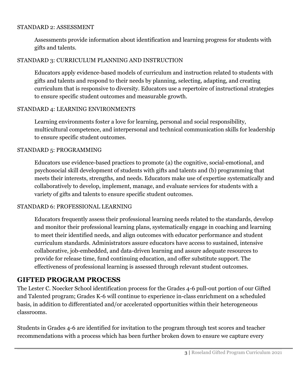#### STANDARD 2: ASSESSMENT

Assessments provide information about identification and learning progress for students with gifts and talents.

#### STANDARD 3: CURRICULUM PLANNING AND INSTRUCTION

Educators apply evidence-based models of curriculum and instruction related to students with gifts and talents and respond to their needs by planning, selecting, adapting, and creating curriculum that is responsive to diversity. Educators use a repertoire of instructional strategies to ensure specific student outcomes and measurable growth.

#### STANDARD 4: LEARNING ENVIRONMENTS

Learning environments foster a love for learning, personal and social responsibility, multicultural competence, and interpersonal and technical communication skills for leadership to ensure specific student outcomes.

#### STANDARD 5: PROGRAMMING

Educators use evidence-based practices to promote (a) the cognitive, social-emotional, and psychosocial skill development of students with gifts and talents and (b) programming that meets their interests, strengths, and needs. Educators make use of expertise systematically and collaboratively to develop, implement, manage, and evaluate services for students with a variety of gifts and talents to ensure specific student outcomes.

#### STANDARD 6: PROFESSIONAL LEARNING

Educators frequently assess their professional learning needs related to the standards, develop and monitor their professional learning plans, systematically engage in coaching and learning to meet their identified needs, and align outcomes with educator performance and student curriculum standards. Administrators assure educators have access to sustained, intensive collaborative, job-embedded, and data-driven learning and assure adequate resources to provide for release time, fund continuing education, and offer substitute support. The effectiveness of professional learning is assessed through relevant student outcomes.

## **GIFTED PROGRAM PROCESS**

The Lester C. Noecker School identification process for the Grades 4-6 pull-out portion of our Gifted and Talented program; Grades K-6 will continue to experience in-class enrichment on a scheduled basis, in addition to differentiated and/or accelerated opportunities within their heterogeneous classrooms.

Students in Grades 4-6 are identified for invitation to the program through test scores and teacher recommendations with a process which has been further broken down to ensure we capture every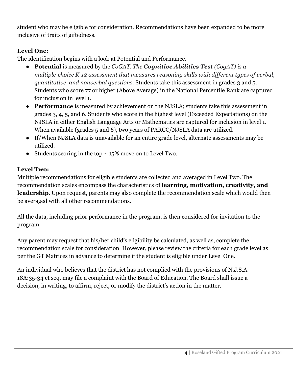student who may be eligible for consideration. Recommendations have been expanded to be more inclusive of traits of giftedness.

## **Level One:**

The identification begins with a look at Potential and Performance.

- **Potential** is measured by the *CoGAT. The Cognitive Abilities Test (CogAT) is a multiple-choice K-12 assessment that measures reasoning skills with different types of verbal, quantitative, and nonverbal questions.* Students take this assessment in grades 3 and 5. Students who score 77 or higher (Above Average) in the National Percentile Rank are captured for inclusion in level 1.
- **Performance** is measured by achievement on the NJSLA; students take this assessment in grades 3, 4, 5, and 6. Students who score in the highest level (Exceeded Expectations) on the NJSLA in either English Language Arts or Mathematics are captured for inclusion in level 1. When available (grades 5 and 6), two years of PARCC/NJSLA data are utilized.
- If/When NJSLA data is unavailable for an entire grade level, alternate assessments may be utilized.
- Students scoring in the top  $\sim 15\%$  move on to Level Two.

## **Level Two:**

Multiple recommendations for eligible students are collected and averaged in Level Two. The recommendation scales encompass the characteristics of **learning, motivation, creativity, and leadership**. Upon request, parents may also complete the recommendation scale which would then be averaged with all other recommendations.

All the data, including prior performance in the program, is then considered for invitation to the program.

Any parent may request that his/her child's eligibility be calculated, as well as, complete the recommendation scale for consideration. However, please review the criteria for each grade level as per the GT Matrices in advance to determine if the student is eligible under Level One.

An individual who believes that the district has not complied with the provisions of N.J.S.A. 18A:35-34 et seq. may file a complaint with the Board of Education. The Board shall issue a decision, in writing, to affirm, reject, or modify the district's action in the matter.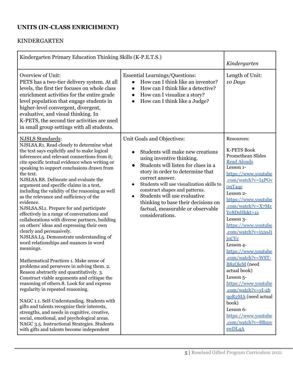#### **UNITS (IN-CLASS ENRICHMENT)**

#### KINDERGARTEN

| Kindergarten Primary Education Thinking Skills (K-P.E.T.S.)                                                                                                                                                                                                                                                                                                                                                                                                                                                                                                                                                                                                                                                                                                                                                                                                                                                                                                                                                                                                                                                                                                                                                                                                                                                                                                                              |                                                                                                                                                                                                                                                                                                                                                                                                                                                             | Kindergarten                                                                                                                                                                                                                                                                                                                                                                                                                                                                                                                                                              |
|------------------------------------------------------------------------------------------------------------------------------------------------------------------------------------------------------------------------------------------------------------------------------------------------------------------------------------------------------------------------------------------------------------------------------------------------------------------------------------------------------------------------------------------------------------------------------------------------------------------------------------------------------------------------------------------------------------------------------------------------------------------------------------------------------------------------------------------------------------------------------------------------------------------------------------------------------------------------------------------------------------------------------------------------------------------------------------------------------------------------------------------------------------------------------------------------------------------------------------------------------------------------------------------------------------------------------------------------------------------------------------------|-------------------------------------------------------------------------------------------------------------------------------------------------------------------------------------------------------------------------------------------------------------------------------------------------------------------------------------------------------------------------------------------------------------------------------------------------------------|---------------------------------------------------------------------------------------------------------------------------------------------------------------------------------------------------------------------------------------------------------------------------------------------------------------------------------------------------------------------------------------------------------------------------------------------------------------------------------------------------------------------------------------------------------------------------|
| Overview of Unit:<br>PETS has a two-tier delivery system. At all<br>levels, the first tier focuses on whole class<br>enrichment activities for the entire grade<br>level population that engage students in<br>higher-level convergent, divergent,<br>evaluative, and visual thinking. In<br>K-PETS, the second tier activities are used<br>in small group settings with all students.                                                                                                                                                                                                                                                                                                                                                                                                                                                                                                                                                                                                                                                                                                                                                                                                                                                                                                                                                                                                   | <b>Essential Learnings/Questions:</b><br>How can I think like an inventor?<br>How can I think like a detective?<br>$\bullet$<br>How can I visualize a story?<br>$\bullet$<br>How can I think like a Judge?<br>$\bullet$                                                                                                                                                                                                                                     | Length of Unit:<br>10 Days                                                                                                                                                                                                                                                                                                                                                                                                                                                                                                                                                |
| <b>NJSLS Standards:</b><br>NJSLSA.R1. Read closely to determine what<br>the text says explicitly and to make logical<br>inferences and relevant connections from it;<br>cite specific textual evidence when writing or<br>speaking to support conclusions drawn from<br>the text.<br>NJSLSA.R8. Delineate and evaluate the<br>argument and specific claims in a text,<br>including the validity of the reasoning as well<br>as the relevance and sufficiency of the<br>evidence.<br>NJSLSA.SL1. Prepare for and participate<br>effectively in a range of conversations and<br>collaborations with diverse partners, building<br>on others' ideas and expressing their own<br>clearly and persuasively.<br>NJSLSA.L <sub>5</sub> . Demonstrate understanding of<br>word relationships and nuances in word<br>meanings.<br>Mathematical Practices 1. Make sense of<br>problems and persevere in solving them. 2.<br>Reason abstractly and quantitatively. 3.<br>Construct viable arguments and critique the<br>reasoning of others.8. Look for and express<br>regularity in repeated reasoning.<br>NAGC 1.1. Self-Understanding. Students with<br>gifts and talents recognize their interests,<br>strengths, and needs in cognitive, creative,<br>social, emotional, and psychological areas.<br>NAGC 3.5. Instructional Strategies. Students<br>with gifts and talents become independent | Unit Goals and Objectives:<br>Students will make new creations<br>$\bullet$<br>using inventive thinking.<br>Students will listen for clues in a<br>$\bullet$<br>story in order to determine that<br>correct answer.<br>Students will use visualization skills to<br>$\bullet$<br>construct shapes and patterns.<br>Students will use evaluative<br>$\bullet$<br>thinking to base their decisions on<br>factual, measurable or observable<br>considerations. | Resources:<br><b>K-PETS Book</b><br>Promethean Slides<br><b>Read Alouds</b><br>Lesson 1-<br>https://www.youtube<br>.com/watch?v=I4PGv<br>o9T4qc<br>Lesson 2-<br>https://www.youtube<br>.com/watch?v=X7Mz<br>Yc8DsHk&t=1s<br>Lesson 3-<br>https://www.youtube<br>.com/watch?v=i550Ji<br>ioCVc<br>Lesson 4-<br>https://www.youtube<br>.com/watch?v=WST-<br><b>B8zOleM</b> (need<br>actual book)<br>Lesson <sub>5</sub> -<br>https://www.youtube<br>$.com/watch?v=yI-2b$<br>9pR2MA (need actual<br>book)<br>Lesson 6-<br>https://www.youtube<br>.com/watch?v=8Bzpy<br>swDL4A |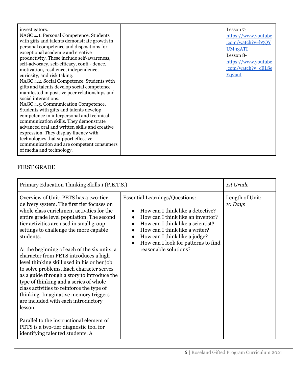| investigators.<br>NAGC 4.1. Personal Competence. Students<br>with gifts and talents demonstrate growth in<br>personal competence and dispositions for<br>exceptional academic and creative<br>productivity. These include self-awareness,<br>self-advocacy, self-efficacy, confi - dence,                                                                                                                                                                                                                     | Lesson 7-<br>https://www.youtube<br>.com/watch?v= $b$ 5QY<br>UM93ATI<br>Lesson 8-<br>https://www.youtube<br>.com/watch?v=cELSe |
|---------------------------------------------------------------------------------------------------------------------------------------------------------------------------------------------------------------------------------------------------------------------------------------------------------------------------------------------------------------------------------------------------------------------------------------------------------------------------------------------------------------|--------------------------------------------------------------------------------------------------------------------------------|
| motivation, resilience, independence,<br>curiosity, and risk taking.<br>NAGC 4.2. Social Competence. Students with<br>gifts and talents develop social competence<br>manifested in positive peer relationships and<br>social interactions.<br>NAGC 4.5. Communication Competence.<br>Students with gifts and talents develop<br>competence in interpersonal and technical<br>communication skills. They demonstrate<br>advanced oral and written skills and creative<br>expression. They display fluency with | Yq2auI                                                                                                                         |
| technologies that support effective<br>communication and are competent consumers<br>of media and technology.                                                                                                                                                                                                                                                                                                                                                                                                  |                                                                                                                                |

## FIRST GRADE

| Primary Education Thinking Skills 1 (P.E.T.S.)                                                                                                                                                                                                                                                                                                                                                                                                                                                                                                                                                                                                                                                                                                                                                                                 |                                                                                                                                                                                                                                                                                                                   | 1st Grade                  |
|--------------------------------------------------------------------------------------------------------------------------------------------------------------------------------------------------------------------------------------------------------------------------------------------------------------------------------------------------------------------------------------------------------------------------------------------------------------------------------------------------------------------------------------------------------------------------------------------------------------------------------------------------------------------------------------------------------------------------------------------------------------------------------------------------------------------------------|-------------------------------------------------------------------------------------------------------------------------------------------------------------------------------------------------------------------------------------------------------------------------------------------------------------------|----------------------------|
| Overview of Unit: PETS has a two-tier<br>delivery system. The first tier focuses on<br>whole class enrichment activities for the<br>entire grade level population. The second<br>tier activities are used in small group<br>settings to challenge the more capable<br>students.<br>At the beginning of each of the six units, a<br>character from PETS introduces a high<br>level thinking skill used in his or her job<br>to solve problems. Each character serves<br>as a guide through a story to introduce the<br>type of thinking and a series of whole<br>class activities to reinforce the type of<br>thinking. Imaginative memory triggers<br>are included with each introductory<br>lesson.<br>Parallel to the instructional element of<br>PETS is a two-tier diagnostic tool for<br>identifying talented students. A | <b>Essential Learnings/Questions:</b><br>How can I think like a detective?<br>How can I think like an inventor?<br>$\bullet$<br>How can I think like a scientist?<br>How can I think like a writer?<br>$\bullet$<br>How can I think like a judge?<br>How can I look for patterns to find<br>reasonable solutions? | Length of Unit:<br>10 Days |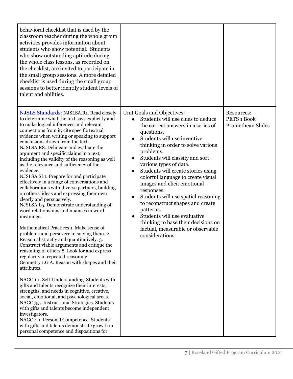| behavioral checklist that is used by the<br>classroom teacher during the whole group<br>activities provides information about<br>students who show potential. Students<br>who show outstanding aptitude during<br>the whole class lessons, as recorded on<br>the checklist, are invited to participate in<br>the small group sessions. A more detailed<br>checklist is used during the small group<br>sessions to better identify student levels of<br>talent and abilities.                                                                                                                                                                                                                                                                                                                                                                                                                                                                                                                                                                                                                                                                                                                                                                                                                                                                                                                                                                                                                                                                                                                    |                                                                                                                                                                                                                                                                                                                                                                                                                                                                                                                                                                                                                                 |                                                       |
|-------------------------------------------------------------------------------------------------------------------------------------------------------------------------------------------------------------------------------------------------------------------------------------------------------------------------------------------------------------------------------------------------------------------------------------------------------------------------------------------------------------------------------------------------------------------------------------------------------------------------------------------------------------------------------------------------------------------------------------------------------------------------------------------------------------------------------------------------------------------------------------------------------------------------------------------------------------------------------------------------------------------------------------------------------------------------------------------------------------------------------------------------------------------------------------------------------------------------------------------------------------------------------------------------------------------------------------------------------------------------------------------------------------------------------------------------------------------------------------------------------------------------------------------------------------------------------------------------|---------------------------------------------------------------------------------------------------------------------------------------------------------------------------------------------------------------------------------------------------------------------------------------------------------------------------------------------------------------------------------------------------------------------------------------------------------------------------------------------------------------------------------------------------------------------------------------------------------------------------------|-------------------------------------------------------|
| <b>NJSLS Standards: NJSLSA.R1. Read closely</b><br>to determine what the text says explicitly and<br>to make logical inferences and relevant<br>connections from it; cite specific textual<br>evidence when writing or speaking to support<br>conclusions drawn from the text.<br>NJSLSA.R8. Delineate and evaluate the<br>argument and specific claims in a text,<br>including the validity of the reasoning as well<br>as the relevance and sufficiency of the<br>evidence.<br>NJSLSA.SL1. Prepare for and participate<br>effectively in a range of conversations and<br>collaborations with diverse partners, building<br>on others' ideas and expressing their own<br>clearly and persuasively.<br>NJSLSA.L5. Demonstrate understanding of<br>word relationships and nuances in word<br>meanings.<br>Mathematical Practices 1. Make sense of<br>problems and persevere in solving them. 2.<br>Reason abstractly and quantitatively. 3.<br>Construct viable arguments and critique the<br>reasoning of others.8. Look for and express<br>regularity in repeated reasoning<br>Geometry 1.G A. Reason with shapes and their<br>attributes.<br>NAGC 1.1. Self-Understanding. Students with<br>gifts and talents recognize their interests,<br>strengths, and needs in cognitive, creative,<br>social, emotional, and psychological areas.<br>NAGC 3.5. Instructional Strategies. Students<br>with gifts and talents become independent<br>investigators.<br>NAGC 4.1. Personal Competence. Students<br>with gifts and talents demonstrate growth in<br>personal competence and dispositions for | Unit Goals and Objectives:<br>Students will use clues to deduce<br>the correct answers in a series of<br>questions.<br>Students will use inventive<br>thinking in order to solve various<br>problems.<br>Students will classify and sort<br>various types of data.<br>Students will create stories using<br>colorful language to create visual<br>images and elicit emotional<br>responses.<br>Students will use spatial reasoning<br>$\bullet$<br>to reconstruct shapes and create<br>patterns.<br>Students will use evaluative<br>thinking to base their decisions on<br>factual, measurable or observable<br>considerations. | Resources:<br>PETS 1 Book<br><b>Promethean Slides</b> |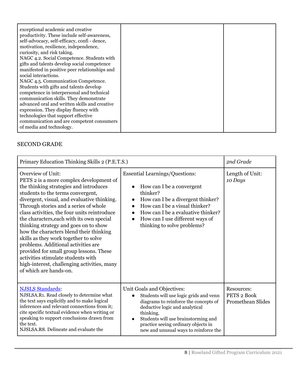| self-advocacy, self-efficacy, confi - dence,<br>motivation, resilience, independence,<br>curiosity, and risk taking.<br>NAGC 4.2. Social Competence. Students with<br>gifts and talents develop social competence<br>manifested in positive peer relationships and<br>social interactions.<br>NAGC 4.5. Communication Competence.<br>Students with gifts and talents develop<br>competence in interpersonal and technical<br>communication skills. They demonstrate<br>advanced oral and written skills and creative<br>expression. They display fluency with<br>technologies that support effective<br>communication and are competent consumers<br>of media and technology. |
|-------------------------------------------------------------------------------------------------------------------------------------------------------------------------------------------------------------------------------------------------------------------------------------------------------------------------------------------------------------------------------------------------------------------------------------------------------------------------------------------------------------------------------------------------------------------------------------------------------------------------------------------------------------------------------|
|-------------------------------------------------------------------------------------------------------------------------------------------------------------------------------------------------------------------------------------------------------------------------------------------------------------------------------------------------------------------------------------------------------------------------------------------------------------------------------------------------------------------------------------------------------------------------------------------------------------------------------------------------------------------------------|

## SECOND GRADE

| Primary Education Thinking Skills 2 (P.E.T.S.)                                                                                                                                                                                                                                                                                                                                                                                                                                                                                                                                                                                                                 |                                                                                                                                                                                                                                                                                                  | 2nd Grade                                             |
|----------------------------------------------------------------------------------------------------------------------------------------------------------------------------------------------------------------------------------------------------------------------------------------------------------------------------------------------------------------------------------------------------------------------------------------------------------------------------------------------------------------------------------------------------------------------------------------------------------------------------------------------------------------|--------------------------------------------------------------------------------------------------------------------------------------------------------------------------------------------------------------------------------------------------------------------------------------------------|-------------------------------------------------------|
| Overview of Unit:<br>PETS 2 is a more complex development of<br>the thinking strategies and introduces<br>students to the terms convergent,<br>divergent, visual, and evaluative thinking.<br>Through stories and a series of whole<br>class activities, the four units reintroduce<br>the characters, each with its own special<br>thinking strategy and goes on to show<br>how the characters blend their thinking<br>skills as they work together to solve<br>problems. Additional activities are<br>provided for small group lessons. These<br>activities stimulate students with<br>high-interest, challenging activities, many<br>of which are hands-on. | <b>Essential Learnings/Questions:</b><br>How can I be a convergent<br>thinker?<br>How can I be a divergent thinker?<br>$\bullet$<br>How can I be a visual thinker?<br>How can I be a evaluative thinker?<br>How can I use different ways of<br>$\bullet$<br>thinking to solve problems?          | Length of Unit:<br>10 Days                            |
| <b>NJSLS Standards:</b><br>NJSLSA.R1. Read closely to determine what<br>the text says explicitly and to make logical<br>inferences and relevant connections from it;<br>cite specific textual evidence when writing or<br>speaking to support conclusions drawn from<br>the text.<br>NJSLSA.R8. Delineate and evaluate the                                                                                                                                                                                                                                                                                                                                     | Unit Goals and Objectives:<br>Students will use logic grids and venn<br>diagrams to reinforce the concepts of<br>deductive logic and analytical<br>thinking.<br>Students will use brainstorming and<br>$\bullet$<br>practice seeing ordinary objects in<br>new and unusual ways to reinforce the | Resources:<br>PETS 2 Book<br><b>Promethean Slides</b> |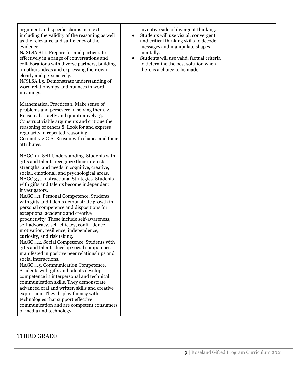| argument and specific claims in a text,<br>including the validity of the reasoning as well<br>as the relevance and sufficiency of the<br>evidence.<br>NJSLSA.SL1. Prepare for and participate<br>effectively in a range of conversations and<br>collaborations with diverse partners, building<br>on others' ideas and expressing their own<br>clearly and persuasively.<br>NJSLSA.L <sub>5</sub> . Demonstrate understanding of<br>word relationships and nuances in word<br>meanings.                                                                                                                                                                                                                                                                                                                                                                                                                                                                                                                                                                      | inventive side of divergent thinking.<br>Students will use visual, convergent,<br>$\bullet$<br>and critical thinking skills to decode<br>messages and manipulate shapes<br>mentally.<br>Students will use valid, factual criteria<br>$\bullet$<br>to determine the best solution when<br>there is a choice to be made. |  |
|--------------------------------------------------------------------------------------------------------------------------------------------------------------------------------------------------------------------------------------------------------------------------------------------------------------------------------------------------------------------------------------------------------------------------------------------------------------------------------------------------------------------------------------------------------------------------------------------------------------------------------------------------------------------------------------------------------------------------------------------------------------------------------------------------------------------------------------------------------------------------------------------------------------------------------------------------------------------------------------------------------------------------------------------------------------|------------------------------------------------------------------------------------------------------------------------------------------------------------------------------------------------------------------------------------------------------------------------------------------------------------------------|--|
| Mathematical Practices 1. Make sense of<br>problems and persevere in solving them. 2.<br>Reason abstractly and quantitatively. 3.<br>Construct viable arguments and critique the<br>reasoning of others.8. Look for and express<br>regularity in repeated reasoning<br>Geometry 2.G A. Reason with shapes and their<br>attributes.                                                                                                                                                                                                                                                                                                                                                                                                                                                                                                                                                                                                                                                                                                                           |                                                                                                                                                                                                                                                                                                                        |  |
| NAGC 1.1. Self-Understanding. Students with<br>gifts and talents recognize their interests,<br>strengths, and needs in cognitive, creative,<br>social, emotional, and psychological areas.<br>NAGC 3.5. Instructional Strategies. Students<br>with gifts and talents become independent<br>investigators.<br>NAGC 4.1. Personal Competence. Students<br>with gifts and talents demonstrate growth in<br>personal competence and dispositions for<br>exceptional academic and creative<br>productivity. These include self-awareness,<br>self-advocacy, self-efficacy, confi - dence,<br>motivation, resilience, independence,<br>curiosity, and risk taking.<br>NAGC 4.2. Social Competence. Students with<br>gifts and talents develop social competence<br>manifested in positive peer relationships and<br>social interactions.<br>NAGC 4.5. Communication Competence.<br>Students with gifts and talents develop<br>competence in interpersonal and technical<br>communication skills. They demonstrate<br>advanced oral and written skills and creative |                                                                                                                                                                                                                                                                                                                        |  |
| expression. They display fluency with<br>technologies that support effective<br>communication and are competent consumers<br>of media and technology.                                                                                                                                                                                                                                                                                                                                                                                                                                                                                                                                                                                                                                                                                                                                                                                                                                                                                                        |                                                                                                                                                                                                                                                                                                                        |  |

### THIRD GRADE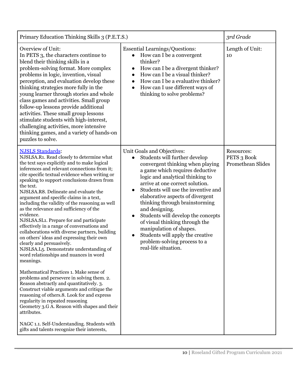| Primary Education Thinking Skills 3 (P.E.T.S.)                                                                                                                                                                                                                                                                                                                                                                                                                                                                                                                                                                                                                                                                                                                                                                                                                                                                                                                                                                                                                                                                                                               |                                                                                                                                                                                                                                                                                                                                                                                                                                                                                                                                                                                | 3rd Grade                                             |
|--------------------------------------------------------------------------------------------------------------------------------------------------------------------------------------------------------------------------------------------------------------------------------------------------------------------------------------------------------------------------------------------------------------------------------------------------------------------------------------------------------------------------------------------------------------------------------------------------------------------------------------------------------------------------------------------------------------------------------------------------------------------------------------------------------------------------------------------------------------------------------------------------------------------------------------------------------------------------------------------------------------------------------------------------------------------------------------------------------------------------------------------------------------|--------------------------------------------------------------------------------------------------------------------------------------------------------------------------------------------------------------------------------------------------------------------------------------------------------------------------------------------------------------------------------------------------------------------------------------------------------------------------------------------------------------------------------------------------------------------------------|-------------------------------------------------------|
| Overview of Unit:<br>In PETS 3, the characters continue to<br>blend their thinking skills in a<br>problem-solving format. More complex<br>problems in logic, invention, visual<br>perception, and evaluation develop these<br>thinking strategies more fully in the<br>young learner through stories and whole<br>class games and activities. Small group<br>follow-up lessons provide additional<br>activities. These small group lessons<br>stimulate students with high-interest,<br>challenging activities, more intensive<br>thinking games, and a variety of hands-on<br>puzzles to solve.                                                                                                                                                                                                                                                                                                                                                                                                                                                                                                                                                             | <b>Essential Learnings/Questions:</b><br>How can I be a convergent<br>$\bullet$<br>thinker?<br>How can I be a divergent thinker?<br>$\bullet$<br>How can I be a visual thinker?<br>$\bullet$<br>How can I be a evaluative thinker?<br>$\bullet$<br>How can I use different ways of<br>$\bullet$<br>thinking to solve problems?                                                                                                                                                                                                                                                 | Length of Unit:<br>10                                 |
| <b>NJSLS Standards:</b><br>NJSLSA.R1. Read closely to determine what<br>the text says explicitly and to make logical<br>inferences and relevant connections from it;<br>cite specific textual evidence when writing or<br>speaking to support conclusions drawn from<br>the text.<br>NJSLSA, R8. Delineate and evaluate the<br>argument and specific claims in a text,<br>including the validity of the reasoning as well<br>as the relevance and sufficiency of the<br>evidence.<br>NJSLSA.SL1. Prepare for and participate<br>effectively in a range of conversations and<br>collaborations with diverse partners, building<br>on others' ideas and expressing their own<br>clearly and persuasively.<br>NJSLSA.L <sub>5</sub> . Demonstrate understanding of<br>word relationships and nuances in word<br>meanings.<br>Mathematical Practices 1. Make sense of<br>problems and persevere in solving them. 2.<br>Reason abstractly and quantitatively. 3.<br>Construct viable arguments and critique the<br>reasoning of others.8. Look for and express<br>regularity in repeated reasoning<br>Geometry 3.G A. Reason with shapes and their<br>attributes. | Unit Goals and Objectives:<br>Students will further develop<br>convergent thinking when playing<br>a game which requires deductive<br>logic and analytical thinking to<br>arrive at one correct solution.<br>Students will use the inventive and<br>$\bullet$<br>elaborative aspects of divergent<br>thinking through brainstorming<br>and designing.<br>Students will develop the concepts<br>$\bullet$<br>of visual thinking through the<br>manipulation of shapes.<br>Students will apply the creative<br>$\bullet$<br>problem-solving process to a<br>real-life situation. | Resources:<br>PETS 3 Book<br><b>Promethean Slides</b> |
| NAGC 1.1. Self-Understanding. Students with<br>gifts and talents recognize their interests,                                                                                                                                                                                                                                                                                                                                                                                                                                                                                                                                                                                                                                                                                                                                                                                                                                                                                                                                                                                                                                                                  |                                                                                                                                                                                                                                                                                                                                                                                                                                                                                                                                                                                |                                                       |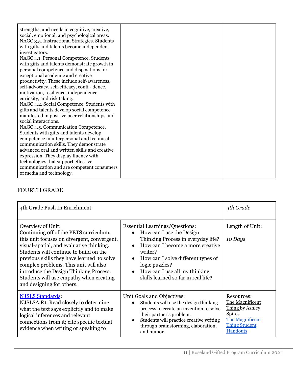## FOURTH GRADE

| 4th Grade Push In Enrichment                                                                                                                                                                                                                                                                                                                                                                              |                                                                                                                                                                                                                                                                                                                                 | 4th Grade                                                                                                                |
|-----------------------------------------------------------------------------------------------------------------------------------------------------------------------------------------------------------------------------------------------------------------------------------------------------------------------------------------------------------------------------------------------------------|---------------------------------------------------------------------------------------------------------------------------------------------------------------------------------------------------------------------------------------------------------------------------------------------------------------------------------|--------------------------------------------------------------------------------------------------------------------------|
| Overview of Unit:<br>Continuing off of the PETS curriculum,<br>this unit focuses on divergent, convergent,<br>visual-spatial, and evaluative thinking.<br>Students will continue to build on the<br>previous skills they have learned to solve<br>complex problems. This unit will also<br>introduce the Design Thinking Process.<br>Students will use empathy when creating<br>and designing for others. | <b>Essential Learnings/Questions:</b><br>• How can I use the Design<br>Thinking Process in everyday life?<br>How can I become a more creative<br>$\bullet$<br>writer?<br>How can I solve different types of<br>$\bullet$<br>logic puzzles?<br>How can I use all my thinking<br>$\bullet$<br>skills learned so far in real life? | Length of Unit:<br>10 Days                                                                                               |
| <b>NJSLS Standards:</b><br>NJSLSA.R1. Read closely to determine<br>what the text says explicitly and to make<br>logical inferences and relevant<br>connections from it; cite specific textual<br>evidence when writing or speaking to                                                                                                                                                                     | Unit Goals and Objectives:<br>Students will use the design thinking<br>$\bullet$<br>process to create an invention to solve<br>their partner's problem.<br>Students will practice creative writing<br>through brainstorming, elaboration,<br>and humor.                                                                         | Resources:<br>The Magnificent<br>Thing by Ashley<br><b>Spires</b><br>The Magnificent<br><b>Thing Student</b><br>Handouts |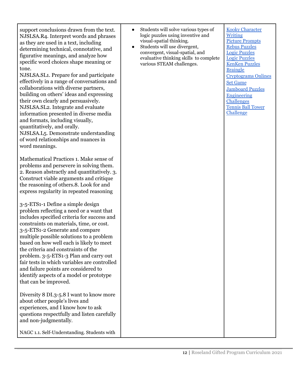| support conclusions drawn from the text. |
|------------------------------------------|
|                                          |
| NJSLSA.R4. Interpret words and phrases   |
| as they are used in a text, including    |
| determining technical, connotative, and  |
| figurative meanings, and analyze how     |
| specific word choices shape meaning or   |
| tone.                                    |
|                                          |

NJSLSA.SL1. Prepare for and participate effectively in a range of conversations and collaborations with diverse partners, building on others' ideas and expressing their own clearly and persuasively. NJSLSA.SL2. Integrate and evaluate information presented in diverse media and formats, including visually, quantitatively, and orally. NJSLSA.L5. Demonstrate understanding of word relationships and nuances in

word meanings.

Mathematical Practices 1. Make sense of problems and persevere in solving them. 2. Reason abstractly and quantitatively. 3. Construct viable arguments and critique the reasoning of others.8. Look for and express regularity in repeated reasoning

3-5-ETS1-1 Define a simple design problem reflecting a need or a want that includes specified criteria for success and constraints on materials, time, or cost. 3-5-ETS1-2 Generate and compare multiple possible solutions to a problem based on how well each is likely to meet the criteria and constraints of the problem. 3-5-ETS1-3 Plan and carry out fair tests in which variables are controlled and failure points are considered to identify aspects of a model or prototype that can be improved.

Diversity 8 DI.3-5.8 I want to know more about other people's lives and experiences, and I know how to ask questions respectfully and listen carefully and non-judgmentally.

NAGC 1.1. Self-Understanding. Students with

- Students will solve various types of logic puzzles using inventive and visual-spatial thinking.
- Students will use divergent, convergent, visual-spatial, and evaluative thinking skills to complete various STEAM challenges.

Kooky [Character](https://cdn.shopify.com/s/files/1/2284/7705/files/kooky_character_greek_roots.pdf?v=1621825379) [Writing](https://cdn.shopify.com/s/files/1/2284/7705/files/kooky_character_greek_roots.pdf?v=1621825379) Picture [Prompts](http://visualprompts.weebly.com/language-arts.html) Rebus [Puzzles](http://www.vella-zarb.com/thomas/rebuses.html) Logic [Puzzles](http://www.mysterymaster.com/puzzles/) Logic [Puzzles](https://logic.puzzlebaron.com/) [KenKen](http://www.kenken.com) Puzzles [Braingle](https://www.braingle.com/) [Cryptograms](http://highschool.spsd.org/crypt/index.html) Onlines Set [Game](http://www.setgame.com) [Jamboard](https://linktr.ee/GiftedTawk) Puzzles [Engineering](https://childhood101.com/create-an-engineering-mystery-bag-challenge-for-kids/) [Challenges](https://childhood101.com/create-an-engineering-mystery-bag-challenge-for-kids/) [Tennis](https://pbskids.org/designsquad/parentseducators/resources/high_rise.html) Ball Tower [Challenge](https://pbskids.org/designsquad/parentseducators/resources/high_rise.html)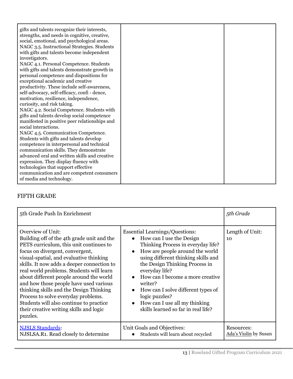| gifts and talents recognize their interests,<br>strengths, and needs in cognitive, creative,<br>social, emotional, and psychological areas.<br>NAGC 3.5. Instructional Strategies. Students<br>with gifts and talents become independent<br>investigators.<br>NAGC 4.1. Personal Competence. Students<br>with gifts and talents demonstrate growth in<br>personal competence and dispositions for<br>exceptional academic and creative<br>productivity. These include self-awareness,<br>self-advocacy, self-efficacy, confi - dence,<br>motivation, resilience, independence,<br>curiosity, and risk taking.<br>NAGC 4.2. Social Competence. Students with<br>gifts and talents develop social competence<br>manifested in positive peer relationships and<br>social interactions.<br>NAGC 4.5. Communication Competence.<br>Students with gifts and talents develop<br>competence in interpersonal and technical<br>communication skills. They demonstrate<br>advanced oral and written skills and creative<br>expression. They display fluency with |  |
|--------------------------------------------------------------------------------------------------------------------------------------------------------------------------------------------------------------------------------------------------------------------------------------------------------------------------------------------------------------------------------------------------------------------------------------------------------------------------------------------------------------------------------------------------------------------------------------------------------------------------------------------------------------------------------------------------------------------------------------------------------------------------------------------------------------------------------------------------------------------------------------------------------------------------------------------------------------------------------------------------------------------------------------------------------|--|
| technologies that support effective<br>communication and are competent consumers<br>of media and technology.                                                                                                                                                                                                                                                                                                                                                                                                                                                                                                                                                                                                                                                                                                                                                                                                                                                                                                                                           |  |

## FIFTH GRADE

| 5th Grade Push In Enrichment                                                                                                                                                                                                                                                                                                                                                                                                                                                                                                                                |                                                                                                                                                                                                                                                                                                                                                                                                                                                                            | 5th Grade                           |
|-------------------------------------------------------------------------------------------------------------------------------------------------------------------------------------------------------------------------------------------------------------------------------------------------------------------------------------------------------------------------------------------------------------------------------------------------------------------------------------------------------------------------------------------------------------|----------------------------------------------------------------------------------------------------------------------------------------------------------------------------------------------------------------------------------------------------------------------------------------------------------------------------------------------------------------------------------------------------------------------------------------------------------------------------|-------------------------------------|
| Overview of Unit:<br>Building off of the 4th grade unit and the<br>PETS curriculum, this unit continues to<br>focus on divergent, convergent,<br>visual-spatial, and evaluative thinking<br>skills. It now adds a deeper connection to<br>real world problems. Students will learn<br>about different people around the world<br>and how those people have used various<br>thinking skills and the Design Thinking<br>Process to solve everyday problems.<br>Students will also continue to practice<br>their creative writing skills and logic<br>puzzles. | <b>Essential Learnings/Questions:</b><br>• How can I use the Design<br>Thinking Process in everyday life?<br>How are people around the world<br>$\bullet$<br>using different thinking skills and<br>the Design Thinking Process in<br>everyday life?<br>How can I become a more creative<br>$\bullet$<br>writer?<br>How can I solve different types of<br>$\bullet$<br>logic puzzles?<br>How can I use all my thinking<br>$\bullet$<br>skills learned so far in real life? | Length of Unit:<br>10               |
| <b>NJSLS Standards:</b><br>NJSLSA.R1. Read closely to determine                                                                                                                                                                                                                                                                                                                                                                                                                                                                                             | Unit Goals and Objectives:<br>Students will learn about recycled<br>$\bullet$                                                                                                                                                                                                                                                                                                                                                                                              | Resources:<br>Ada's Violin by Susan |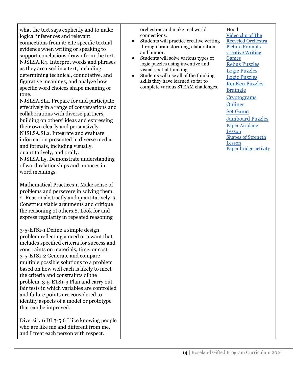what the text says explicitly and to make logical inferences and relevant connections from it; cite specific textual evidence when writing or speaking to support conclusions drawn from the text. NJSLSA.R4. Interpret words and phrases as they are used in a text, including determining technical, connotative, and figurative meanings, and analyze how specific word choices shape meaning or tone.

NJSLSA.SL1. Prepare for and participate effectively in a range of conversations and collaborations with diverse partners, building on others' ideas and expressing their own clearly and persuasively. NJSLSA.SL2. Integrate and evaluate information presented in diverse media and formats, including visually, quantitatively, and orally. NJSLSA.L5. Demonstrate understanding of word relationships and nuances in word meanings.

Mathematical Practices 1. Make sense of problems and persevere in solving them. 2. Reason abstractly and quantitatively. 3. Construct viable arguments and critique the reasoning of others.8. Look for and express regularity in repeated reasoning

3-5-ETS1-1 Define a simple design problem reflecting a need or a want that includes specified criteria for success and constraints on materials, time, or cost. 3-5-ETS1-2 Generate and compare multiple possible solutions to a problem based on how well each is likely to meet the criteria and constraints of the problem. 3-5-ETS1-3 Plan and carry out fair tests in which variables are controlled and failure points are considered to identify aspects of a model or prototype that can be improved.

Diversity 6 DI.3-5.6 I like knowing people who are like me and different from me, and I treat each person with respect.

orchestras and make real world connections.

- Students will practice creative writing through brainstorming, elaboration, and humor.
- Students will solve various types of logic puzzles using inventive and visual-spatial thinking.
- Students will use all of the thinking skills they have learned so far to complete various STEAM challenges.

Hood [Video](https://landfillharmonicmovie.com/) clip of The Recycled [Orchestra](https://landfillharmonicmovie.com/) Picture [Prompts](http://visualprompts.weebly.com/language-arts.html) [Creative](https://teachingmadepractical.com/making-writing-fun/) Writing [Games](https://teachingmadepractical.com/making-writing-fun/) Rebus [Puzzles](http://www.vella-zarb.com/thomas/rebuses.html) Logic [Puzzles](http://www.mysterymaster.com/puzzles/) Logic [Puzzles](https://logic.puzzlebaron.com/) [KenKen](http://www.kenken.com) Puzzles [Braingle](https://www.braingle.com/) **[Cryptograms](http://highschool.spsd.org/crypt/index.html) [Onlines](http://highschool.spsd.org/crypt/index.html)** Set [Game](http://www.setgame.com) [Jamboard](https://linktr.ee/GiftedTawk) Puzzles Paper [Airplane](https://www.teachengineering.org/activities/view/cub_airplanes_lesson06_activity1) [Lesson](https://www.teachengineering.org/activities/view/cub_airplanes_lesson06_activity1) Shapes of [Strength](https://www.teachengineering.org/activities/view/cub_intro_lesson01_activity1) [Lesson](https://www.teachengineering.org/activities/view/cub_intro_lesson01_activity1) Paper bridge [activity](http://www.pbs.org/wgbh/buildingbig/educator/act_paper_ho.html)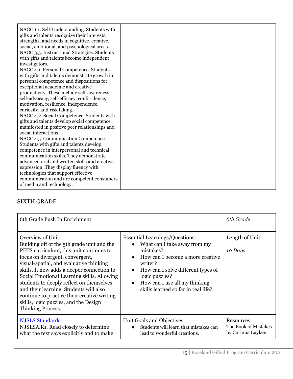| NAGC 1.1. Self-Understanding. Students with<br>gifts and talents recognize their interests,<br>strengths, and needs in cognitive, creative,<br>social, emotional, and psychological areas.<br>NAGC 3.5. Instructional Strategies. Students<br>with gifts and talents become independent<br>investigators.<br>NAGC 4.1. Personal Competence. Students<br>with gifts and talents demonstrate growth in<br>personal competence and dispositions for<br>exceptional academic and creative<br>productivity. These include self-awareness,<br>self-advocacy, self-efficacy, confi - dence,<br>motivation, resilience, independence,<br>curiosity, and risk taking.<br>NAGC 4.2. Social Competence. Students with<br>gifts and talents develop social competence<br>manifested in positive peer relationships and<br>social interactions.<br>NAGC 4.5. Communication Competence.<br>Students with gifts and talents develop<br>competence in interpersonal and technical<br>communication skills. They demonstrate<br>advanced oral and written skills and creative<br>expression. They display fluency with |  |
|-------------------------------------------------------------------------------------------------------------------------------------------------------------------------------------------------------------------------------------------------------------------------------------------------------------------------------------------------------------------------------------------------------------------------------------------------------------------------------------------------------------------------------------------------------------------------------------------------------------------------------------------------------------------------------------------------------------------------------------------------------------------------------------------------------------------------------------------------------------------------------------------------------------------------------------------------------------------------------------------------------------------------------------------------------------------------------------------------------|--|
| technologies that support effective<br>communication and are competent consumers<br>of media and technology.                                                                                                                                                                                                                                                                                                                                                                                                                                                                                                                                                                                                                                                                                                                                                                                                                                                                                                                                                                                          |  |

#### SIXTH GRADE

| 6th Grade Push In Enrichment                                                                                                                                                                                                                                                                                                                                                                                                                                                                   |                                                                                                                                                                                                                                                                                                                       | 6th Grade                                               |
|------------------------------------------------------------------------------------------------------------------------------------------------------------------------------------------------------------------------------------------------------------------------------------------------------------------------------------------------------------------------------------------------------------------------------------------------------------------------------------------------|-----------------------------------------------------------------------------------------------------------------------------------------------------------------------------------------------------------------------------------------------------------------------------------------------------------------------|---------------------------------------------------------|
| <b>Overview of Unit:</b><br>Building off of the 5th grade unit and the<br>PETS curriculum, this unit continues to<br>focus on divergent, convergent,<br>visual-spatial, and evaluative thinking<br>skills. It now adds a deeper connection to<br>Social Emotional Learning skills. Allowing<br>students to deeply reflect on themselves<br>and their learning. Students will also<br>continue to practice their creative writing<br>skills, logic puzzles, and the Design<br>Thinking Process. | <b>Essential Learnings/Questions:</b><br>What can I take away from my<br>$\bullet$<br>mistakes?<br>How can I become a more creative<br>$\bullet$<br>writer?<br>How can I solve different types of<br>$\bullet$<br>logic puzzles?<br>How can I use all my thinking<br>$\bullet$<br>skills learned so far in real life? | Length of Unit:<br>10 Days                              |
| <b>NJSLS Standards:</b><br>NJSLSA.R1. Read closely to determine<br>what the text says explicitly and to make                                                                                                                                                                                                                                                                                                                                                                                   | Unit Goals and Objectives:<br>Students will learn that mistakes can<br>$\bullet$<br>lead to wonderful creations.                                                                                                                                                                                                      | Resources:<br>The Book of Mistakes<br>by Corinna Luyken |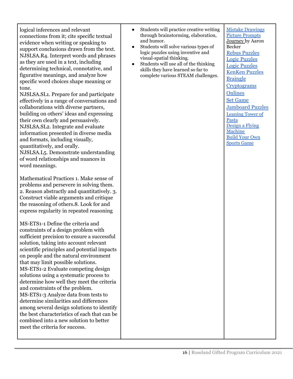logical inferences and relevant connections from it; cite specific textual evidence when writing or speaking to support conclusions drawn from the text. NJSLSA.R4. Interpret words and phrases as they are used in a text, including determining technical, connotative, and figurative meanings, and analyze how specific word choices shape meaning or tone.

NJSLSA.SL1. Prepare for and participate effectively in a range of conversations and collaborations with diverse partners, building on others' ideas and expressing their own clearly and persuasively. NJSLSA.SL2. Integrate and evaluate information presented in diverse media and formats, including visually, quantitatively, and orally. NJSLSA.L5. Demonstrate understanding of word relationships and nuances in word meanings.

Mathematical Practices 1. Make sense of problems and persevere in solving them. 2. Reason abstractly and quantitatively. 3. Construct viable arguments and critique the reasoning of others.8. Look for and express regularity in repeated reasoning

MS-ETS1-1 Define the criteria and constraints of a design problem with sufficient precision to ensure a successful solution, taking into account relevant scientific principles and potential impacts on people and the natural environment that may limit possible solutions. MS-ETS1-2 Evaluate competing design solutions using a systematic process to determine how well they meet the criteria and constraints of the problem. MS-ETS1-3 Analyze data from tests to determine similarities and differences among several design solutions to identify the best characteristics of each that can be combined into a new solution to better meet the criteria for success.

- Students will practice creative writing through brainstorming, elaboration, and humor.
- Students will solve various types of logic puzzles using inventive and visual-spatial thinking.
- Students will use all of the thinking skills they have learned so far to complete various STEAM challenges.

Mistake [Drawings](https://drive.google.com/file/d/1CNGkFtRqwi0753mew_-Dbi2eBVtsTX3K/view?usp=sharing) Picture [Prompts](http://visualprompts.weebly.com/language-arts.html) Journey by Aaron Becker Rebus [Puzzles](http://www.vella-zarb.com/thomas/rebuses.html) Logic [Puzzles](http://www.mysterymaster.com/puzzles/) Logic [Puzzles](https://logic.puzzlebaron.com/) [KenKen](http://www.kenken.com) Puzzles [Braingle](https://www.braingle.com/) **[Cryptograms](http://highschool.spsd.org/crypt/index.html) [Onlines](http://highschool.spsd.org/crypt/index.html)** Set [Game](http://www.setgame.com) [Jamboard](https://linktr.ee/GiftedTawk) Puzzles [Leaning](https://www.teachengineering.org/activities/view/cub_mechanics_lesson10_activity1) Tower of [Pasta](https://www.teachengineering.org/activities/view/cub_mechanics_lesson10_activity1) [Design](https://www.teachengineering.org/activities/view/cub_airplanes_lesson10_activity1) a Flying [Machine](https://www.teachengineering.org/activities/view/cub_airplanes_lesson10_activity1) [Build](https://www.sciencebuddies.org/stem-activities/make-sports-equipment#summary) Your Own [Sports](https://www.sciencebuddies.org/stem-activities/make-sports-equipment#summary) Game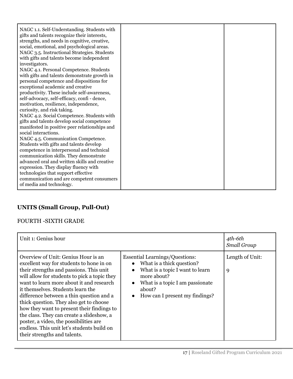| NAGC 1.1. Self-Understanding. Students with<br>gifts and talents recognize their interests,<br>strengths, and needs in cognitive, creative,<br>social, emotional, and psychological areas.<br>NAGC 3.5. Instructional Strategies. Students<br>with gifts and talents become independent<br>investigators.<br>NAGC 4.1. Personal Competence. Students<br>with gifts and talents demonstrate growth in<br>personal competence and dispositions for<br>exceptional academic and creative<br>productivity. These include self-awareness,<br>self-advocacy, self-efficacy, confi - dence,<br>motivation, resilience, independence,<br>curiosity, and risk taking.<br>NAGC 4.2. Social Competence. Students with<br>gifts and talents develop social competence<br>manifested in positive peer relationships and<br>social interactions.<br>NAGC 4.5. Communication Competence.<br>Students with gifts and talents develop<br>competence in interpersonal and technical<br>communication skills. They demonstrate<br>advanced oral and written skills and creative<br>expression. They display fluency with |  |
|-------------------------------------------------------------------------------------------------------------------------------------------------------------------------------------------------------------------------------------------------------------------------------------------------------------------------------------------------------------------------------------------------------------------------------------------------------------------------------------------------------------------------------------------------------------------------------------------------------------------------------------------------------------------------------------------------------------------------------------------------------------------------------------------------------------------------------------------------------------------------------------------------------------------------------------------------------------------------------------------------------------------------------------------------------------------------------------------------------|--|
| technologies that support effective<br>communication and are competent consumers<br>of media and technology.                                                                                                                                                                                                                                                                                                                                                                                                                                                                                                                                                                                                                                                                                                                                                                                                                                                                                                                                                                                          |  |

## **UNITS (Small Group, Pull-Out)**

## FOURTH -SIXTH GRADE

| Unit 1: Genius hour                                                                                                                                                                                                                                                                                                                                                                                                                                                                                                                                                   |                                                                                                                                                                                                                                              | 4th-6th<br><b>Small Group</b> |
|-----------------------------------------------------------------------------------------------------------------------------------------------------------------------------------------------------------------------------------------------------------------------------------------------------------------------------------------------------------------------------------------------------------------------------------------------------------------------------------------------------------------------------------------------------------------------|----------------------------------------------------------------------------------------------------------------------------------------------------------------------------------------------------------------------------------------------|-------------------------------|
| Overview of Unit: Genius Hour is an<br>excellent way for students to hone in on<br>their strengths and passions. This unit<br>will allow for students to pick a topic they<br>want to learn more about it and research<br>it themselves. Students learn the<br>difference between a thin question and a<br>thick question. They also get to choose<br>how they want to present their findings to<br>the class. They can create a slideshow, a<br>poster, a video, the possibilities are<br>endless. This unit let's students build on<br>their strengths and talents. | <b>Essential Learnings/Questions:</b><br>• What is a thick question?<br>What is a topic I want to learn<br>$\bullet$<br>more about?<br>What is a topic I am passionate<br>$\bullet$<br>about?<br>How can I present my findings?<br>$\bullet$ | Length of Unit:<br>9          |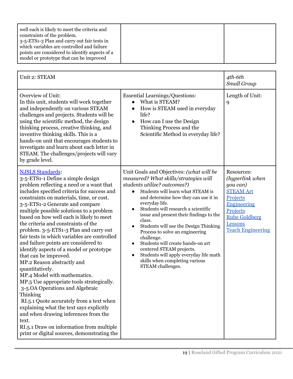| Unit 2: STEAM                                                                                                                                                                                                                                                                                                                                                                                                                                                                                                                                                                                                                                                                                                                                                                                                                                                                                                                                                                                 |                                                                                                                                                                                                                                                                                                                                                                                                                                                                                                                                                                                                                              | 4th-6th<br>Small Group                                                                                                                                                     |
|-----------------------------------------------------------------------------------------------------------------------------------------------------------------------------------------------------------------------------------------------------------------------------------------------------------------------------------------------------------------------------------------------------------------------------------------------------------------------------------------------------------------------------------------------------------------------------------------------------------------------------------------------------------------------------------------------------------------------------------------------------------------------------------------------------------------------------------------------------------------------------------------------------------------------------------------------------------------------------------------------|------------------------------------------------------------------------------------------------------------------------------------------------------------------------------------------------------------------------------------------------------------------------------------------------------------------------------------------------------------------------------------------------------------------------------------------------------------------------------------------------------------------------------------------------------------------------------------------------------------------------------|----------------------------------------------------------------------------------------------------------------------------------------------------------------------------|
| Overview of Unit:<br>In this unit, students will work together<br>and independently on various STEAM<br>challenges and projects. Students will be<br>using the scientific method, the design<br>thinking process, creative thinking, and<br>inventive thinking skills. This is a<br>hands-on unit that encourages students to<br>investigate and learn about each letter in<br>STEAM. The challenges/projects will vary<br>by grade level.                                                                                                                                                                                                                                                                                                                                                                                                                                                                                                                                                    | <b>Essential Learnings/Questions:</b><br>What is STEAM?<br>How is STEAM used in everyday<br>life?<br>How can I use the Design<br>$\bullet$<br>Thinking Process and the<br>Scientific Method in everyday life?                                                                                                                                                                                                                                                                                                                                                                                                                | Length of Unit:<br>9                                                                                                                                                       |
| <b>NJSLS Standards:</b><br>3-5-ETS1-1 Define a simple design<br>problem reflecting a need or a want that<br>includes specified criteria for success and<br>constraints on materials, time, or cost.<br>3-5-ETS1-2 Generate and compare<br>multiple possible solutions to a problem<br>based on how well each is likely to meet<br>the criteria and constraints of the<br>problem. 3-5-ETS1-3 Plan and carry out<br>fair tests in which variables are controlled<br>and failure points are considered to<br>identify aspects of a model or prototype<br>that can be improved.<br>MP.2 Reason abstractly and<br>quantitatively.<br>MP.4 Model with mathematics.<br>MP.5 Use appropriate tools strategically.<br>3-5.0A Operations and Algebraic<br>Thinking<br>RI.5.1 Quote accurately from a text when<br>explaining what the text says explicitly<br>and when drawing inferences from the<br>text.<br>RI.5.1 Draw on information from multiple<br>print or digital sources, demonstrating the | Unit Goals and Objectives: (what will be<br>measured? What skills/strategies will<br>students utilize? outcomes?)<br>Students will learn what STEAM is<br>and determine how they can use it in<br>everyday life.<br>Students will research a scientific<br>$\bullet$<br>issue and present their findings to the<br>class.<br>Students will use the Design Thinking<br>$\bullet$<br>Process to solve an engineering<br>challenge.<br>Students will create hands-on art<br>$\bullet$<br>centered STEAM projects.<br>Students will apply everyday life math<br>$\bullet$<br>skills when completing various<br>STEAM challenges. | Resources:<br>(hyperlink when<br>you can)<br><b>STEAM Art</b><br>Projects<br><b>Engineering</b><br>Projects<br><b>Rube Goldberg</b><br>Lessons<br><b>Teach Engineering</b> |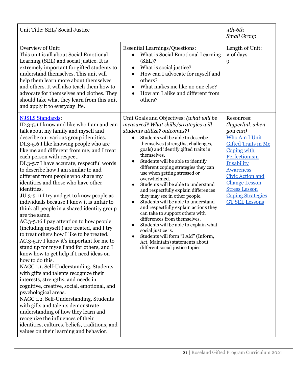| Unit Title: SEL/Social Justice                                                                                                                                                                                                                                                                                                                                                                                                                                                                                                                                                                                                                                                                                                                                                                                                                                                                                                                                                                                                                                                                                                                                                                                                                                                                                                                                               |                                                                                                                                                                                                                                                                                                                                                                                                                                                                                                                                                                                                                                                                                                                                                                                                                                                                                                  | 4th-6th<br>Small Group                                                                                                                                                                                                                                                                            |
|------------------------------------------------------------------------------------------------------------------------------------------------------------------------------------------------------------------------------------------------------------------------------------------------------------------------------------------------------------------------------------------------------------------------------------------------------------------------------------------------------------------------------------------------------------------------------------------------------------------------------------------------------------------------------------------------------------------------------------------------------------------------------------------------------------------------------------------------------------------------------------------------------------------------------------------------------------------------------------------------------------------------------------------------------------------------------------------------------------------------------------------------------------------------------------------------------------------------------------------------------------------------------------------------------------------------------------------------------------------------------|--------------------------------------------------------------------------------------------------------------------------------------------------------------------------------------------------------------------------------------------------------------------------------------------------------------------------------------------------------------------------------------------------------------------------------------------------------------------------------------------------------------------------------------------------------------------------------------------------------------------------------------------------------------------------------------------------------------------------------------------------------------------------------------------------------------------------------------------------------------------------------------------------|---------------------------------------------------------------------------------------------------------------------------------------------------------------------------------------------------------------------------------------------------------------------------------------------------|
| Overview of Unit:<br>This unit is all about Social Emotional<br>Learning (SEL) and social justice. It is<br>extremely important for gifted students to<br>understand themselves. This unit will<br>help them learn more about themselves<br>and others. It will also teach them how to<br>advocate for themselves and clothes. They<br>should take what they learn from this unit<br>and apply it to everyday life.                                                                                                                                                                                                                                                                                                                                                                                                                                                                                                                                                                                                                                                                                                                                                                                                                                                                                                                                                          | <b>Essential Learnings/Questions:</b><br>What is Social Emotional Learning<br>(SEL)?<br>What is social justice?<br>$\bullet$<br>How can I advocate for myself and<br>$\bullet$<br>others?<br>What makes me like no one else?<br>$\bullet$<br>How am I alike and different from<br>$\bullet$<br>others?                                                                                                                                                                                                                                                                                                                                                                                                                                                                                                                                                                                           | Length of Unit:<br># of days<br>9                                                                                                                                                                                                                                                                 |
| <b>NJSLS Standards:</b><br>ID.3-5.1 I know and like who I am and can<br>talk about my family and myself and<br>describe our various group identities.<br>DI.3-5.6 I like knowing people who are<br>like me and different from me, and I treat<br>each person with respect.<br>DI.3-5.7 I have accurate, respectful words<br>to describe how I am similar to and<br>different from people who share my<br>identities and those who have other<br>identities.<br>JU.3-5.11 I try and get to know people as<br>individuals because I know it is unfair to<br>think all people in a shared identity group<br>are the same.<br>AC.3-5.16 I pay attention to how people<br>(including myself) are treated, and I try<br>to treat others how I like to be treated.<br>AC.3-5.17 I know it's important for me to<br>stand up for myself and for others, and I<br>know how to get help if I need ideas on<br>how to do this.<br>NAGC 1.1. Self-Understanding. Students<br>with gifts and talents recognize their<br>interests, strengths, and needs in<br>cognitive, creative, social, emotional, and<br>psychological areas.<br>NAGC 1.2. Self-Understanding. Students<br>with gifts and talents demonstrate<br>understanding of how they learn and<br>recognize the influences of their<br>identities, cultures, beliefs, traditions, and<br>values on their learning and behavior. | Unit Goals and Objectives: (what will be<br>measured? What skills/strategies will<br>students utilize? outcomes?)<br>Students will be able to describe<br>$\bullet$<br>themselves (strengths, challenges,<br>goals) and identify gifted traits in<br>themselves.<br>Students will be able to identify<br>different coping strategies they can<br>use when getting stressed or<br>overwhelmed.<br>Students will be able to understand<br>$\bullet$<br>and respectfully explain differences<br>they may see in other people.<br>Students will be able to understand<br>$\bullet$<br>and respectfully explain actions they<br>can take to support others with<br>differences from themselves.<br>Students will be able to explain what<br>$\bullet$<br>social justice is.<br>Students will form "I AM" (Inform,<br>$\bullet$<br>Act, Maintain) statements about<br>different social justice topics. | Resources:<br>(hyperlink when<br>you can)<br>Who Am I Unit<br><b>Gifted Traits in Me</b><br>Coping with<br>Perfectionism<br><b>Disability</b><br><b>Awareness</b><br><b>Civic Action and</b><br><b>Change Lesson</b><br><b>Stress Lesson</b><br><b>Coping Strategies</b><br><b>GT SEL Lessons</b> |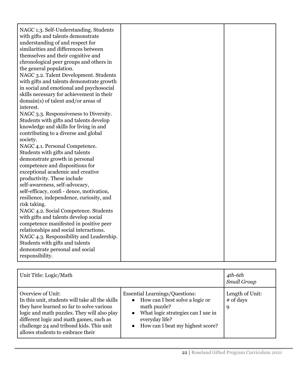| NAGC 1.3. Self-Understanding. Students    |  |
|-------------------------------------------|--|
| with gifts and talents demonstrate        |  |
| understanding of and respect for          |  |
| similarities and differences between      |  |
| themselves and their cognitive and        |  |
| chronological peer groups and others in   |  |
| the general population.                   |  |
| NAGC 3.2. Talent Development. Students    |  |
| with gifts and talents demonstrate growth |  |
| in social and emotional and psychosocial  |  |
| skills necessary for achievement in their |  |
| domain(s) of talent and/or areas of       |  |
| interest.                                 |  |
| NAGC 3.3. Responsiveness to Diversity.    |  |
| Students with gifts and talents develop   |  |
| knowledge and skills for living in and    |  |
| contributing to a diverse and global      |  |
| society.                                  |  |
| NAGC 4.1. Personal Competence.            |  |
| Students with gifts and talents           |  |
| demonstrate growth in personal            |  |
| competence and dispositions for           |  |
| exceptional academic and creative         |  |
| productivity. These include               |  |
| self-awareness, self-advocacy,            |  |
| self-efficacy, confi - dence, motivation, |  |
| resilience, independence, curiosity, and  |  |
| risk taking.                              |  |
| NAGC 4.2. Social Competence. Students     |  |
| with gifts and talents develop social     |  |
| competence manifested in positive peer    |  |
| relationships and social interactions.    |  |
| NAGC 4.3. Responsibility and Leadership.  |  |
| Students with gifts and talents           |  |
| demonstrate personal and social           |  |
| responsibility.                           |  |

| Unit Title: Logic/Math                                                                                                                                                                                                                                                                      |                                                                                                                                                                                                       | $4th$ -6th<br>Small Group           |
|---------------------------------------------------------------------------------------------------------------------------------------------------------------------------------------------------------------------------------------------------------------------------------------------|-------------------------------------------------------------------------------------------------------------------------------------------------------------------------------------------------------|-------------------------------------|
| Overview of Unit:<br>In this unit, students will take all the skills<br>they have learned so far to solve various<br>logic and math puzzles. They will also play<br>different logic and math games, such as<br>challenge 24 and tribond kids. This unit<br>allows students to embrace their | <b>Essential Learnings/Questions:</b><br>• How can I best solve a logic or<br>math puzzle?<br>What logic strategies can I use in<br>$\bullet$<br>everyday life?<br>• How can I beat my highest score? | Length of Unit:<br>$#$ of days<br>9 |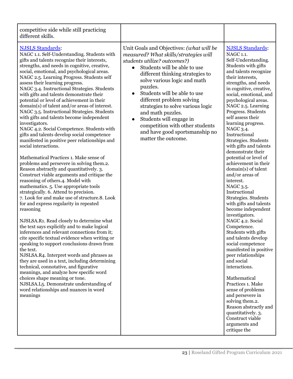| competitive side while still practicing<br>different skills.                                                                                                                                                                                                                                                                                                                                                                                                                                                                                                                                                                                                                                                                                                                                                                                                                                                                                                                                                                                                                                                                                                                                                                                                                                                                                                                                                                                                                                                                                                                                                                                                                                                                                                                               |                                                                                                                                                                                                                                                                                                                                                                                                                                                                                                                        |                                                                                                                                                                                                                                                                                                                                                                                                                                                                                                                                                                                                                                                                                                                                                                                                                                                                                                                                                                                                                                                            |
|--------------------------------------------------------------------------------------------------------------------------------------------------------------------------------------------------------------------------------------------------------------------------------------------------------------------------------------------------------------------------------------------------------------------------------------------------------------------------------------------------------------------------------------------------------------------------------------------------------------------------------------------------------------------------------------------------------------------------------------------------------------------------------------------------------------------------------------------------------------------------------------------------------------------------------------------------------------------------------------------------------------------------------------------------------------------------------------------------------------------------------------------------------------------------------------------------------------------------------------------------------------------------------------------------------------------------------------------------------------------------------------------------------------------------------------------------------------------------------------------------------------------------------------------------------------------------------------------------------------------------------------------------------------------------------------------------------------------------------------------------------------------------------------------|------------------------------------------------------------------------------------------------------------------------------------------------------------------------------------------------------------------------------------------------------------------------------------------------------------------------------------------------------------------------------------------------------------------------------------------------------------------------------------------------------------------------|------------------------------------------------------------------------------------------------------------------------------------------------------------------------------------------------------------------------------------------------------------------------------------------------------------------------------------------------------------------------------------------------------------------------------------------------------------------------------------------------------------------------------------------------------------------------------------------------------------------------------------------------------------------------------------------------------------------------------------------------------------------------------------------------------------------------------------------------------------------------------------------------------------------------------------------------------------------------------------------------------------------------------------------------------------|
| <b>NJSLS Standards:</b><br>NAGC 1.1. Self-Understanding. Students with<br>gifts and talents recognize their interests,<br>strengths, and needs in cognitive, creative,<br>social, emotional, and psychological areas.<br>NAGC 2.5. Learning Progress. Students self<br>assess their learning progress.<br>NAGC 3.4. Instructional Strategies. Students<br>with gifts and talents demonstrate their<br>potential or level of achievement in their<br>domain(s) of talent and/or areas of interest.<br>NAGC 3.5. Instructional Strategies. Students<br>with gifts and talents become independent<br>investigators.<br>NAGC 4.2. Social Competence. Students with<br>gifts and talents develop social competence<br>manifested in positive peer relationships and<br>social interactions.<br>Mathematical Practices 1. Make sense of<br>problems and persevere in solving them.2.<br>Reason abstractly and quantitatively. 3.<br>Construct viable arguments and critique the<br>reasoning of others.4. Model with<br>mathematics. 5. Use appropriate tools<br>strategically. 6. Attend to precision.<br>7. Look for and make use of structure.8. Look<br>for and express regularity in repeated<br>reasoning<br>NJSLSA.R1. Read closely to determine what<br>the text says explicitly and to make logical<br>inferences and relevant connections from it;<br>cite specific textual evidence when writing or<br>speaking to support conclusions drawn from<br>the text.<br>NJSLSA.R4. Interpret words and phrases as<br>they are used in a text, including determining<br>technical, connotative, and figurative<br>meanings, and analyze how specific word<br>choices shape meaning or tone.<br>NJSLSA.L5. Demonstrate understanding of<br>word relationships and nuances in word<br>meanings | Unit Goals and Objectives: (what will be<br>measured? What skills/strategies will<br>students utilize? outcomes?)<br>Students will be able to use<br>$\bullet$<br>different thinking strategies to<br>solve various logic and math<br>puzzles.<br>Students will be able to use<br>$\bullet$<br>different problem solving<br>strategies to solve various logic<br>and math puzzles.<br>Students will engage in<br>$\bullet$<br>competition with other students<br>and have good sportsmanship no<br>matter the outcome. | <b>NJSLS Standards:</b><br>NAGC 1.1.<br>Self-Understanding.<br>Students with gifts<br>and talents recognize<br>their interests,<br>strengths, and needs<br>in cognitive, creative,<br>social, emotional, and<br>psychological areas.<br>NAGC 2.5. Learning<br>Progress. Students<br>self assess their<br>learning progress.<br>NAGC 3.4.<br>Instructional<br>Strategies. Students<br>with gifts and talents<br>demonstrate their<br>potential or level of<br>achievement in their<br>domain(s) of talent<br>and/or areas of<br>interest.<br>NAGC 3.5.<br>Instructional<br>Strategies. Students<br>with gifts and talents<br>become independent<br>investigators.<br>NAGC 4.2. Social<br>Competence.<br>Students with gifts<br>and talents develop<br>social competence<br>manifested in positive<br>peer relationships<br>and social<br>interactions.<br>Mathematical<br>Practices 1. Make<br>sense of problems<br>and persevere in<br>solving them.2.<br>Reason abstractly and<br>quantitatively. 3.<br>Construct viable<br>arguments and<br>critique the |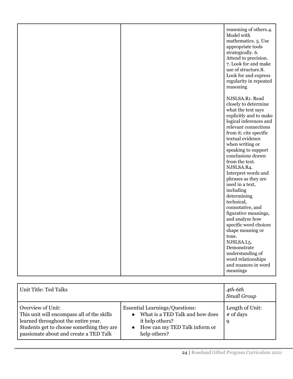|  | reasoning of others.4.<br>Model with<br>mathematics. 5. Use<br>appropriate tools<br>strategically. 6.<br>Attend to precision.<br>7. Look for and make<br>use of structure.8.<br>Look for and express<br>regularity in repeated<br>reasoning                                                                                                                                                                                                                                                                                                         |
|--|-----------------------------------------------------------------------------------------------------------------------------------------------------------------------------------------------------------------------------------------------------------------------------------------------------------------------------------------------------------------------------------------------------------------------------------------------------------------------------------------------------------------------------------------------------|
|  | NJSLSA.R1. Read<br>closely to determine<br>what the text says<br>explicitly and to make<br>logical inferences and<br>relevant connections<br>from it; cite specific<br>textual evidence<br>when writing or<br>speaking to support<br>conclusions drawn<br>from the text.<br>NJSLSA.R4.<br>Interpret words and<br>phrases as they are<br>used in a text,<br>including<br>determining<br>technical,<br>connotative, and<br>figurative meanings,<br>and analyze how<br>specific word choices<br>shape meaning or<br>tone.<br>NJSLSA.L5.<br>Demonstrate |
|  | understanding of<br>word relationships<br>and nuances in word<br>meanings                                                                                                                                                                                                                                                                                                                                                                                                                                                                           |

| Unit Title: Ted Talks                                                                                                                                                                         |                                                                                                                                                                        | 4th-6th<br>Small Group            |
|-----------------------------------------------------------------------------------------------------------------------------------------------------------------------------------------------|------------------------------------------------------------------------------------------------------------------------------------------------------------------------|-----------------------------------|
| Overview of Unit:<br>This unit will encompass all of the skills<br>learned throughout the entire year.<br>Students get to choose something they are<br>passionate about and create a TED Talk | <b>Essential Learnings/Questions:</b><br>What is a TED Talk and how does<br>$\bullet$<br>it help others?<br>How can my TED Talk inform or<br>$\bullet$<br>help others? | Length of Unit:<br># of days<br>9 |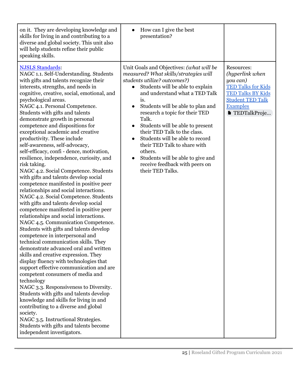| on it. They are developing knowledge and<br>skills for living in and contributing to a<br>diverse and global society. This unit also<br>will help students refine their public<br>speaking skills.                                                                                                                                                                                                                                                                                                                                                                                                                                                                                                                                                                                                                                                                                                                                                                                                                                                                                                                                                                                                                                                                                                                                                                                                                                                                                                                                                                                                                   | How can I give the best<br>presentation?                                                                                                                                                                                                                                                                                                                                                                                                                                                                                                                                        |                                                                                                                                                                         |
|----------------------------------------------------------------------------------------------------------------------------------------------------------------------------------------------------------------------------------------------------------------------------------------------------------------------------------------------------------------------------------------------------------------------------------------------------------------------------------------------------------------------------------------------------------------------------------------------------------------------------------------------------------------------------------------------------------------------------------------------------------------------------------------------------------------------------------------------------------------------------------------------------------------------------------------------------------------------------------------------------------------------------------------------------------------------------------------------------------------------------------------------------------------------------------------------------------------------------------------------------------------------------------------------------------------------------------------------------------------------------------------------------------------------------------------------------------------------------------------------------------------------------------------------------------------------------------------------------------------------|---------------------------------------------------------------------------------------------------------------------------------------------------------------------------------------------------------------------------------------------------------------------------------------------------------------------------------------------------------------------------------------------------------------------------------------------------------------------------------------------------------------------------------------------------------------------------------|-------------------------------------------------------------------------------------------------------------------------------------------------------------------------|
| <b>NJSLS Standards:</b><br>NAGC 1.1. Self-Understanding. Students<br>with gifts and talents recognize their<br>interests, strengths, and needs in<br>cognitive, creative, social, emotional, and<br>psychological areas.<br>NAGC 4.1. Personal Competence.<br>Students with gifts and talents<br>demonstrate growth in personal<br>competence and dispositions for<br>exceptional academic and creative<br>productivity. These include<br>self-awareness, self-advocacy,<br>self-efficacy, confi - dence, motivation,<br>resilience, independence, curiosity, and<br>risk taking.<br>NAGC 4.2. Social Competence. Students<br>with gifts and talents develop social<br>competence manifested in positive peer<br>relationships and social interactions.<br>NAGC 4.2. Social Competence. Students<br>with gifts and talents develop social<br>competence manifested in positive peer<br>relationships and social interactions.<br>NAGC 4.5. Communication Competence.<br>Students with gifts and talents develop<br>competence in interpersonal and<br>technical communication skills. They<br>demonstrate advanced oral and written<br>skills and creative expression. They<br>display fluency with technologies that<br>support effective communication and are<br>competent consumers of media and<br>technology<br>NAGC 3.3. Responsiveness to Diversity.<br>Students with gifts and talents develop<br>knowledge and skills for living in and<br>contributing to a diverse and global<br>society.<br>NAGC 3.5. Instructional Strategies.<br>Students with gifts and talents become<br>independent investigators. | Unit Goals and Objectives: (what will be<br>measured? What skills/strategies will<br>students utilize? outcomes?)<br>Students will be able to explain<br>$\bullet$<br>and understand what a TED Talk<br>is.<br>Students will be able to plan and<br>$\bullet$<br>research a topic for their TED<br>Talk.<br>Students will be able to present<br>$\bullet$<br>their TED Talk to the class.<br>Students will be able to record<br>their TED Talk to share with<br>others.<br>Students will be able to give and<br>$\bullet$<br>receive feedback with peers on<br>their TED Talks. | Resources:<br>(hyperlink when<br>you can)<br><b>TED Talks for Kids</b><br><b>TED Talks BY Kids</b><br><b>Student TED Talk</b><br><b>Examples</b><br><b>TEDTalkProje</b> |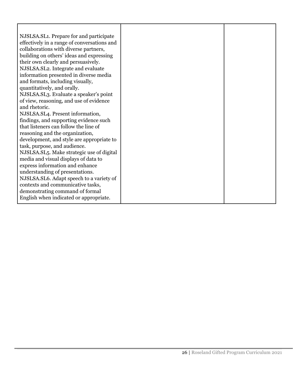| NJSLSA.SL1. Prepare for and participate     |  |
|---------------------------------------------|--|
| effectively in a range of conversations and |  |
| collaborations with diverse partners,       |  |
| building on others' ideas and expressing    |  |
| their own clearly and persuasively.         |  |
| NJSLSA.SL2. Integrate and evaluate          |  |
| information presented in diverse media      |  |
| and formats, including visually,            |  |
| quantitatively, and orally.                 |  |
| NJSLSA.SL3. Evaluate a speaker's point      |  |
| of view, reasoning, and use of evidence     |  |
| and rhetoric.                               |  |
| NJSLSA.SL4. Present information,            |  |
| findings, and supporting evidence such      |  |
| that listeners can follow the line of       |  |
| reasoning and the organization,             |  |
| development, and style are appropriate to   |  |
| task, purpose, and audience.                |  |
| NJSLSA.SL5. Make strategic use of digital   |  |
| media and visual displays of data to        |  |
| express information and enhance             |  |
| understanding of presentations.             |  |
| NJSLSA.SL6. Adapt speech to a variety of    |  |
| contexts and communicative tasks,           |  |
| demonstrating command of formal             |  |
| English when indicated or appropriate.      |  |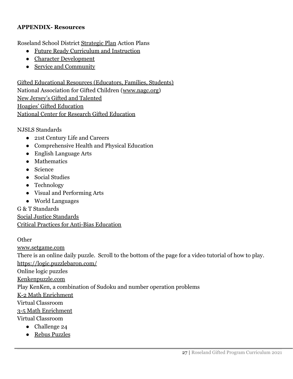#### **APPENDIX- Resources**

Roseland School District [Strategic Plan](http://roselandnjboe.org/rose/Others/Strategic%20Planning/) Action Plans

- [Future Ready Curriculum and Instruction](http://209.18.101.124/rose/_zumu_user_doc_cache/Curriculum___Instruction_Action_Plan_2017_2022__2_.pdf)
- [Character Development](http://209.18.101.124/rose/_zumu_user_doc_cache/Character_Development_Action_Plan_2017_2022__2_.pdf)
- [Service and Community](http://209.18.101.124/rose/_zumu_user_doc_cache/Service___Community_Action_Plan_2017_2022__2_.pdf)

[Gifted Educational Resources \(Educators, Families, Students\)](https://www.giftedstudy.org/resources/) National Association for Gifted Children ([www.nagc.org\)](http://www.nagc.org/) [New Jersey's Gifted and Talented](https://www.state.nj.us/education/aps/cccs/gandt/) [Hoagies' Gifted Education](http://www.hoagiesgifted.org/) [National Center for Research Gifted Education](http://ncrge.uconn.edu/)

[NJSLS Standards](https://www.nj.gov/education/cccs/)

- [21st Century Life and Careers](https://www.nj.gov/education/aps/cccs/career/)
- [Comprehensive Health and Physical Education](https://www.nj.gov/education/aps/cccs/chpe/)
- [English Language Arts](https://www.nj.gov/education/aps/cccs/lal/)
- [Mathematics](https://www.nj.gov/education/aps/cccs/math/)
- [Science](https://www.nj.gov/education/aps/cccs/science/)
- [Social Studies](https://www.nj.gov/education/aps/cccs/ss/)
- [Technology](https://www.nj.gov/education/aps/cccs/tech/)
- [Visual and Performing Arts](https://www.nj.gov/education/aps/cccs/arts/)
- [World Languages](https://www.nj.gov/education/aps/cccs/wl/)

[G & T Standards](https://www.nagc.org/resources-publications/resources/national-standards-gifted-and-talented-education/pre-k-grade-12) [Social Justice Standards](https://www.learningforjustice.org/sites/default/files/2017-06/TT_Social_Justice_Standards_0.pdf) [Critical Practices for Anti-Bias Education](https://www.learningforjustice.org/sites/default/files/2017-06/PDA%20Critical%20Practices_0.pdf)

**Other** 

[www.setgame.com](http://www.setgame.com)

There is an online daily puzzle. Scroll to the bottom of the page for a video tutorial of how to play.

<https://logic.puzzlebaron.com/>

Online logic puzzles

[Kenkenpuzzle.com](http://www.kenken.com)

Play KenKen, a combination of Sudoku and number operation problems

[K-2 Math Enrichment](https://docs.google.com/presentation/d/1rq3jH176jfdW1HzV6pe8jLfl8dVAx3fObwhI2GeIi-I/edit?usp=sharing)

Virtual Classroom

#### [3-5 Math Enrichment](https://docs.google.com/presentation/d/1NdQ-DRRyJKu5iJYVbH4OhXpUcPD7SLPfDLphTX4A7p4/edit?usp=sharing)

Virtual Classroom

- Challenge 24
- [Rebus Puzzles](http://www.vella-zarb.com/thomas/rebuses.html)